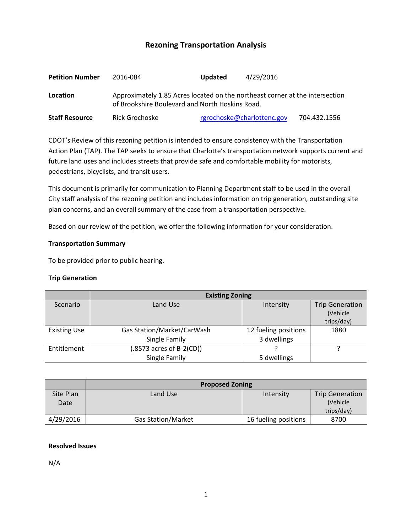# **Rezoning Transportation Analysis**

| <b>Petition Number</b> | 2016-084                                                                                                                        | <b>Updated</b>             | 4/29/2016 |              |  |  |
|------------------------|---------------------------------------------------------------------------------------------------------------------------------|----------------------------|-----------|--------------|--|--|
| Location               | Approximately 1.85 Acres located on the northeast corner at the intersection<br>of Brookshire Boulevard and North Hoskins Road. |                            |           |              |  |  |
| <b>Staff Resource</b>  | Rick Grochoske                                                                                                                  | rgrochoske@charlottenc.gov |           | 704.432.1556 |  |  |

CDOT's Review of this rezoning petition is intended to ensure consistency with the Transportation Action Plan (TAP). The TAP seeks to ensure that Charlotte's transportation network supports current and future land uses and includes streets that provide safe and comfortable mobility for motorists, pedestrians, bicyclists, and transit users.

This document is primarily for communication to Planning Department staff to be used in the overall City staff analysis of the rezoning petition and includes information on trip generation, outstanding site plan concerns, and an overall summary of the case from a transportation perspective.

Based on our review of the petition, we offer the following information for your consideration.

### **Transportation Summary**

To be provided prior to public hearing.

#### **Trip Generation**

|                     | <b>Existing Zoning</b>                              |                                     |                                                  |  |  |
|---------------------|-----------------------------------------------------|-------------------------------------|--------------------------------------------------|--|--|
| Scenario            | Land Use                                            | Intensity                           | <b>Trip Generation</b><br>(Vehicle<br>trips/day) |  |  |
| <b>Existing Use</b> | Gas Station/Market/CarWash<br>Single Family         | 12 fueling positions<br>3 dwellings | 1880                                             |  |  |
| Entitlement         | $(.8573 \text{ acres of B-2(CD}))$<br>Single Family | 5 dwellings                         |                                                  |  |  |

|                   | <b>Proposed Zoning</b>    |                      |                                     |  |  |
|-------------------|---------------------------|----------------------|-------------------------------------|--|--|
| Site Plan<br>Date | Land Use                  | Intensity            | <b>Trip Generation</b><br>(Vehicle) |  |  |
|                   |                           |                      | trips/day)                          |  |  |
| 4/29/2016         | <b>Gas Station/Market</b> | 16 fueling positions | 8700                                |  |  |

#### **Resolved Issues**

N/A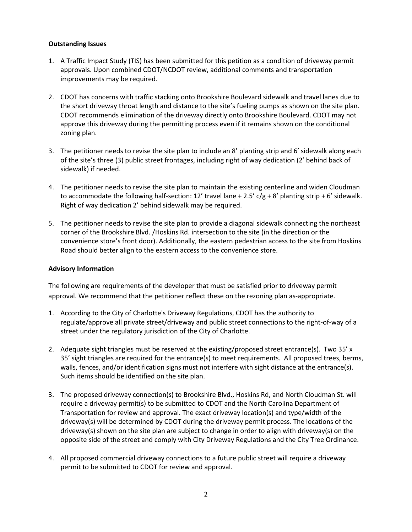## **Outstanding Issues**

- 1. A Traffic Impact Study (TIS) has been submitted for this petition as a condition of driveway permit approvals. Upon combined CDOT/NCDOT review, additional comments and transportation improvements may be required.
- 2. CDOT has concerns with traffic stacking onto Brookshire Boulevard sidewalk and travel lanes due to the short driveway throat length and distance to the site's fueling pumps as shown on the site plan. CDOT recommends elimination of the driveway directly onto Brookshire Boulevard. CDOT may not approve this driveway during the permitting process even if it remains shown on the conditional zoning plan.
- 3. The petitioner needs to revise the site plan to include an 8' planting strip and 6' sidewalk along each of the site's three (3) public street frontages, including right of way dedication (2' behind back of sidewalk) if needed.
- 4. The petitioner needs to revise the site plan to maintain the existing centerline and widen Cloudman to accommodate the following half-section: 12' travel lane + 2.5'  $c/g$  + 8' planting strip + 6' sidewalk. Right of way dedication 2' behind sidewalk may be required.
- 5. The petitioner needs to revise the site plan to provide a diagonal sidewalk connecting the northeast corner of the Brookshire Blvd. /Hoskins Rd. intersection to the site (in the direction or the convenience store's front door). Additionally, the eastern pedestrian access to the site from Hoskins Road should better align to the eastern access to the convenience store.

### **Advisory Information**

The following are requirements of the developer that must be satisfied prior to driveway permit approval. We recommend that the petitioner reflect these on the rezoning plan as-appropriate.

- 1. According to the City of Charlotte's Driveway Regulations, CDOT has the authority to regulate/approve all private street/driveway and public street connections to the right-of-way of a street under the regulatory jurisdiction of the City of Charlotte.
- 2. Adequate sight triangles must be reserved at the existing/proposed street entrance(s). Two 35' x 35' sight triangles are required for the entrance(s) to meet requirements. All proposed trees, berms, walls, fences, and/or identification signs must not interfere with sight distance at the entrance(s). Such items should be identified on the site plan.
- 3. The proposed driveway connection(s) to Brookshire Blvd., Hoskins Rd, and North Cloudman St. will require a driveway permit(s) to be submitted to CDOT and the North Carolina Department of Transportation for review and approval. The exact driveway location(s) and type/width of the driveway(s) will be determined by CDOT during the driveway permit process. The locations of the driveway(s) shown on the site plan are subject to change in order to align with driveway(s) on the opposite side of the street and comply with City Driveway Regulations and the City Tree Ordinance.
- 4. All proposed commercial driveway connections to a future public street will require a driveway permit to be submitted to CDOT for review and approval.